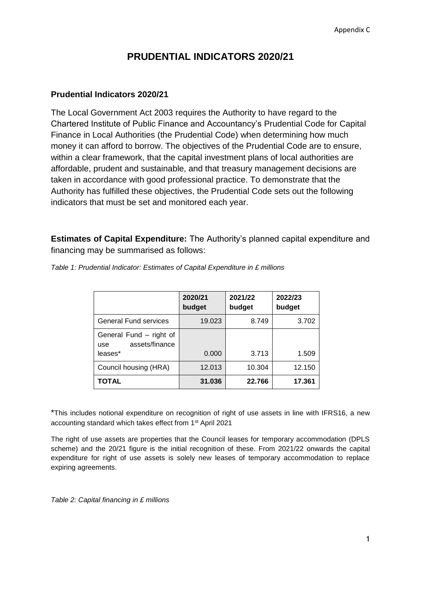## **PRUDENTIAL INDICATORS 2020/21**

## **Prudential Indicators 2020/21**

The Local Government Act 2003 requires the Authority to have regard to the Chartered Institute of Public Finance and Accountancy's Prudential Code for Capital Finance in Local Authorities (the Prudential Code) when determining how much money it can afford to borrow. The objectives of the Prudential Code are to ensure, within a clear framework, that the capital investment plans of local authorities are affordable, prudent and sustainable, and that treasury management decisions are taken in accordance with good professional practice. To demonstrate that the Authority has fulfilled these objectives, the Prudential Code sets out the following indicators that must be set and monitored each year.

**Estimates of Capital Expenditure:** The Authority's planned capital expenditure and financing may be summarised as follows:

|                                                             | 2020/21<br>budget | 2021/22<br>budget | 2022/23<br>budget |
|-------------------------------------------------------------|-------------------|-------------------|-------------------|
| <b>General Fund services</b>                                | 19.023            | 8.749             | 3.702             |
| General Fund - right of<br>assets/finance<br>use<br>leases* | 0.000             | 3.713             | 1.509             |
| Council housing (HRA)                                       | 12.013            | 10.304            | 12.150            |
| <b>TOTAL</b>                                                | 31.036            | 22.766            | 17.361            |

*Table 1: Prudential Indicator: Estimates of Capital Expenditure in £ millions*

\*This includes notional expenditure on recognition of right of use assets in line with IFRS16, a new accounting standard which takes effect from 1st April 2021

The right of use assets are properties that the Council leases for temporary accommodation (DPLS scheme) and the 20/21 figure is the initial recognition of these. From 2021/22 onwards the capital expenditure for right of use assets is solely new leases of temporary accommodation to replace expiring agreements.

*Table 2: Capital financing in £ millions*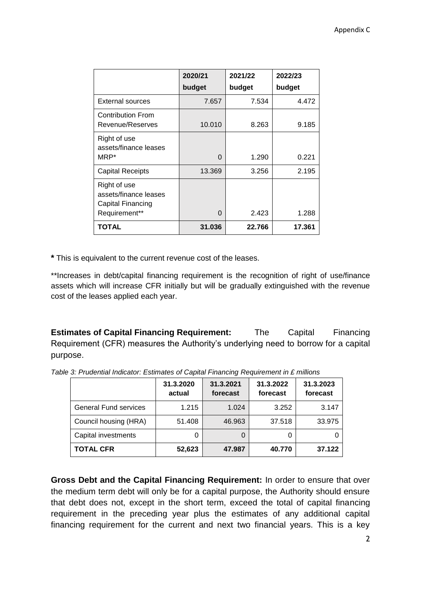|                                                                             | 2020/21  | 2021/22 | 2022/23 |  |
|-----------------------------------------------------------------------------|----------|---------|---------|--|
|                                                                             | budget   | budget  | budget  |  |
| <b>External sources</b>                                                     | 7.657    | 7.534   | 4.472   |  |
| <b>Contribution From</b><br>Revenue/Reserves                                | 10.010   | 8.263   | 9.185   |  |
| Right of use<br>assets/finance leases<br>MRP*                               | 0        | 1.290   | 0.221   |  |
| <b>Capital Receipts</b>                                                     | 13.369   | 3.256   | 2.195   |  |
| Right of use<br>assets/finance leases<br>Capital Financing<br>Requirement** | $\Omega$ | 2.423   | 1.288   |  |
| <b>TOTAL</b>                                                                | 31.036   | 22.766  | 17.361  |  |

**\*** This is equivalent to the current revenue cost of the leases.

\*\*Increases in debt/capital financing requirement is the recognition of right of use/finance assets which will increase CFR initially but will be gradually extinguished with the revenue cost of the leases applied each year.

**Estimates of Capital Financing Requirement:** The Capital Financing Requirement (CFR) measures the Authority's underlying need to borrow for a capital purpose.

|                              | 31.3.2020<br>actual | 31.3.2021<br>forecast | 31.3.2022<br>forecast | 31.3.2023<br>forecast |
|------------------------------|---------------------|-----------------------|-----------------------|-----------------------|
| <b>General Fund services</b> | 1.215               | 1.024                 | 3.252                 | 3.147                 |
| Council housing (HRA)        | 51.408              | 46.963                | 37.518                | 33.975                |
| Capital investments          | 0                   | 0                     | 0                     |                       |
| <b>TOTAL CFR</b>             | 52,623              | 47.987                | 40.770                | 37.122                |

*Table 3: Prudential Indicator: Estimates of Capital Financing Requirement in £ millions*

**Gross Debt and the Capital Financing Requirement:** In order to ensure that over the medium term debt will only be for a capital purpose, the Authority should ensure that debt does not, except in the short term, exceed the total of capital financing requirement in the preceding year plus the estimates of any additional capital financing requirement for the current and next two financial years. This is a key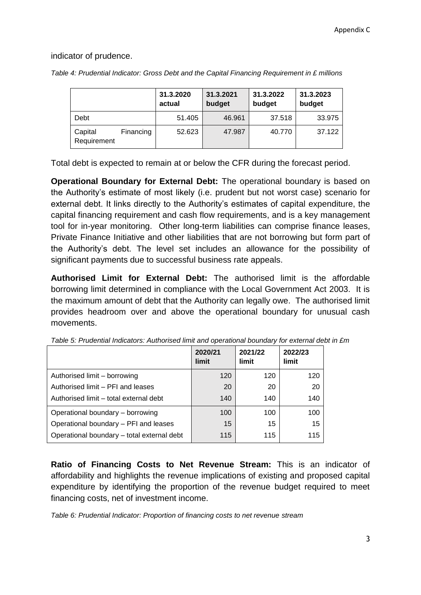indicator of prudence.

|                        |           | 31.3.2020<br>actual | 31.3.2021<br>budget | 31.3.2022<br>budget | 31.3.2023<br>budget |
|------------------------|-----------|---------------------|---------------------|---------------------|---------------------|
| Debt                   |           | 51.405              | 46.961              | 37.518              | 33.975              |
| Capital<br>Requirement | Financing | 52.623              | 47.987              | 40.770              | 37.122              |

*Table 4: Prudential Indicator: Gross Debt and the Capital Financing Requirement in £ millions*

Total debt is expected to remain at or below the CFR during the forecast period.

**Operational Boundary for External Debt:** The operational boundary is based on the Authority's estimate of most likely (i.e. prudent but not worst case) scenario for external debt. It links directly to the Authority's estimates of capital expenditure, the capital financing requirement and cash flow requirements, and is a key management tool for in-year monitoring. Other long-term liabilities can comprise finance leases, Private Finance Initiative and other liabilities that are not borrowing but form part of the Authority's debt. The level set includes an allowance for the possibility of significant payments due to successful business rate appeals.

**Authorised Limit for External Debt:** The authorised limit is the affordable borrowing limit determined in compliance with the Local Government Act 2003. It is the maximum amount of debt that the Authority can legally owe. The authorised limit provides headroom over and above the operational boundary for unusual cash movements.

|                                            | 2020/21<br>limit | 2021/22<br>limit | 2022/23<br>limit |
|--------------------------------------------|------------------|------------------|------------------|
| Authorised limit - borrowing               | 120              | 120              | 120              |
| Authorised limit - PFI and leases          | 20               | 20               | 20               |
| Authorised limit - total external debt     | 140              | 140              | 140              |
| Operational boundary - borrowing           | 100              | 100              | 100              |
| Operational boundary - PFI and leases      | 15               | 15               | 15               |
| Operational boundary - total external debt | 115              | 115              | 115              |

*Table 5: Prudential Indicators: Authorised limit and operational boundary for external debt in £m*

**Ratio of Financing Costs to Net Revenue Stream:** This is an indicator of affordability and highlights the revenue implications of existing and proposed capital expenditure by identifying the proportion of the revenue budget required to meet financing costs, net of investment income.

*Table 6: Prudential Indicator: Proportion of financing costs to net revenue stream*